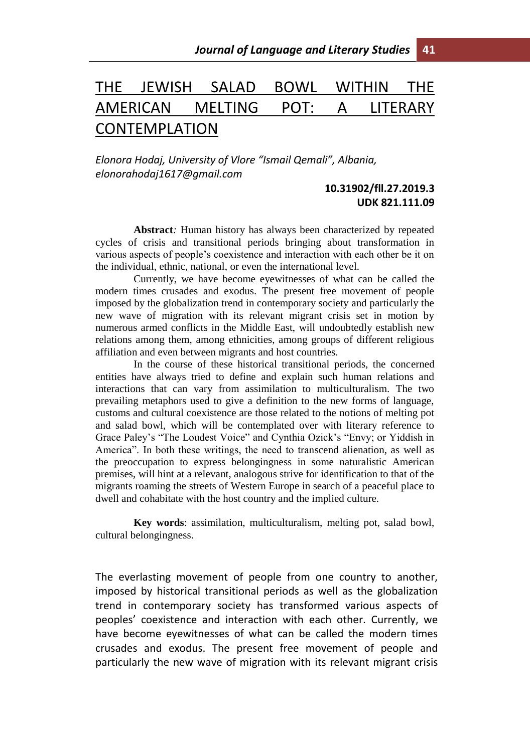## THE JEWISH SALAD BOWL WITHIN THE AMERICAN MELTING POT: A LITERARY CONTEMPLATION

*Elonora Hodaj, University of Vlore "Ismail Qemali", Albania, elonorahodaj1617@gmail.com* 

## **10.31902/fll.27.2019.3 UDK 821.111.09**

**Abstract***:* Human history has always been characterized by repeated cycles of crisis and transitional periods bringing about transformation in various aspects of people's coexistence and interaction with each other be it on the individual, ethnic, national, or even the international level.

Currently, we have become eyewitnesses of what can be called the modern times crusades and exodus. The present free movement of people imposed by the globalization trend in contemporary society and particularly the new wave of migration with its relevant migrant crisis set in motion by numerous armed conflicts in the Middle East, will undoubtedly establish new relations among them, among ethnicities, among groups of different religious affiliation and even between migrants and host countries.

In the course of these historical transitional periods, the concerned entities have always tried to define and explain such human relations and interactions that can vary from assimilation to multiculturalism. The two prevailing metaphors used to give a definition to the new forms of language, customs and cultural coexistence are those related to the notions of melting pot and salad bowl, which will be contemplated over with literary reference to Grace Paley's "The Loudest Voice" and Cynthia Ozick's "Envy; or Yiddish in America". In both these writings, the need to transcend alienation, as well as the preoccupation to express belongingness in some naturalistic American premises, will hint at a relevant, analogous strive for identification to that of the migrants roaming the streets of Western Europe in search of a peaceful place to dwell and cohabitate with the host country and the implied culture.

**Key words**: assimilation, multiculturalism, melting pot, salad bowl, cultural belongingness.

The everlasting movement of people from one country to another, imposed by historical transitional periods as well as the globalization trend in contemporary society has transformed various aspects of peoples' coexistence and interaction with each other. Currently, we have become eyewitnesses of what can be called the modern times crusades and exodus. The present free movement of people and particularly the new wave of migration with its relevant migrant crisis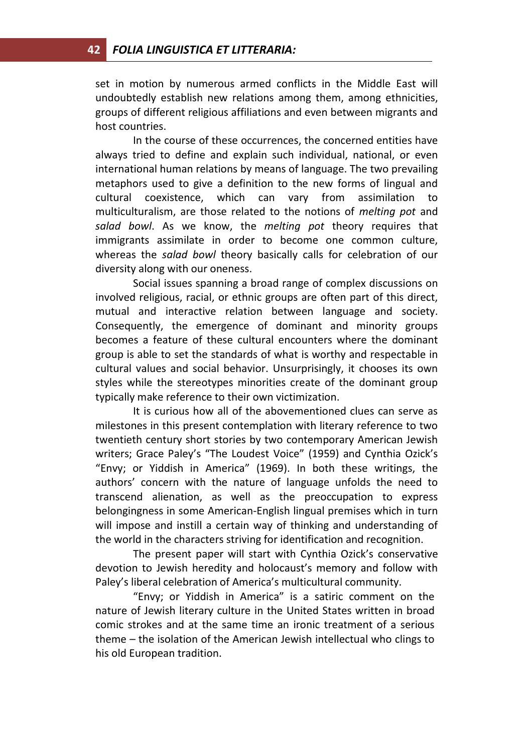set in motion by numerous armed conflicts in the Middle East will undoubtedly establish new relations among them, among ethnicities, groups of different religious affiliations and even between migrants and host countries.

In the course of these occurrences, the concerned entities have always tried to define and explain such individual, national, or even international human relations by means of language. The two prevailing metaphors used to give a definition to the new forms of lingual and cultural coexistence, which can vary from assimilation to multiculturalism, are those related to the notions of *melting pot* and *salad bowl*. As we know, the *melting pot* theory requires that immigrants assimilate in order to become one common culture, whereas the *salad bowl* theory basically calls for celebration of our diversity along with our oneness.

Social issues spanning a broad range of complex discussions on involved religious, racial, or ethnic groups are often part of this direct, mutual and interactive relation between language and society. Consequently, the emergence of dominant and minority groups becomes a feature of these cultural encounters where the dominant group is able to set the standards of what is worthy and respectable in cultural values and social behavior. Unsurprisingly, it chooses its own styles while the stereotypes minorities create of the dominant group typically make reference to their own victimization.

It is curious how all of the abovementioned clues can serve as milestones in this present contemplation with literary reference to two twentieth century short stories by two contemporary American Jewish writers; Grace Paley's "The Loudest Voice" (1959) and Cynthia Ozick's "Envy; or Yiddish in America" (1969). In both these writings, the authors' concern with the nature of language unfolds the need to transcend alienation, as well as the preoccupation to express belongingness in some American-English lingual premises which in turn will impose and instill a certain way of thinking and understanding of the world in the characters striving for identification and recognition.

The present paper will start with Cynthia Ozick's conservative devotion to Jewish heredity and holocaust's memory and follow with Paley's liberal celebration of America's multicultural community.

"Envy; or Yiddish in America" is a satiric comment on the nature of Jewish literary culture in the United States written in broad comic strokes and at the same time an ironic treatment of a serious theme – the isolation of the American Jewish intellectual who clings to his old European tradition.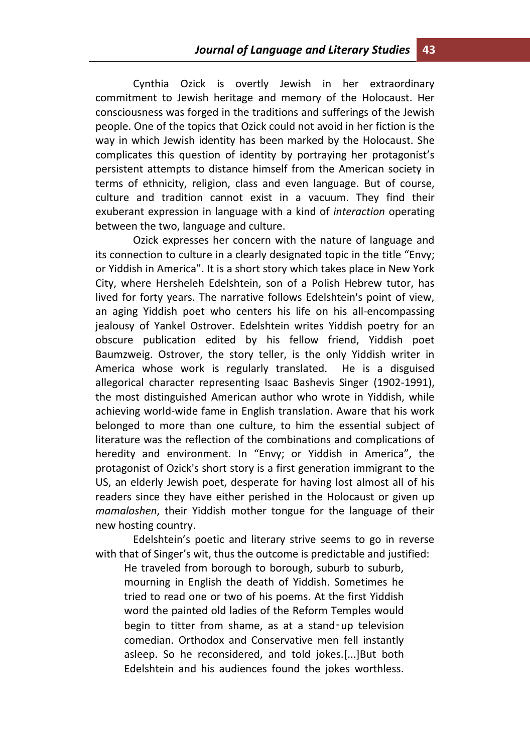Cynthia Ozick is overtly Jewish in her extraordinary commitment to Jewish heritage and memory of the Holocaust. Her consciousness was forged in the traditions and sufferings of the Jewish people. One of the topics that Ozick could not avoid in her fiction is the way in which Jewish identity has been marked by the Holocaust. She complicates this question of identity by portraying her protagonist's persistent attempts to distance himself from the American society in terms of ethnicity, religion, class and even language. But of course, culture and tradition cannot exist in a vacuum. They find their exuberant expression in language with a kind of *interaction* operating between the two, language and culture.

Ozick expresses her concern with the nature of language and its connection to culture in a clearly designated topic in the title "Envy; or Yiddish in America". It is a short story which takes place in New York City, where Hersheleh Edelshtein, son of a Polish Hebrew tutor, has lived for forty years. The narrative follows Edelshtein's point of view, an aging Yiddish poet who centers his life on his all-encompassing jealousy of Yankel Ostrover. Edelshtein writes Yiddish poetry for an obscure publication edited by his fellow friend, Yiddish poet Baumzweig. Ostrover, the story teller, is the only Yiddish writer in America whose work is regularly translated. He is a disguised allegorical character representing Isaac Bashevis Singer (1902-1991), the most distinguished American author who wrote in Yiddish, while achieving world-wide fame in English translation. Aware that his work belonged to more than one culture, to him the essential subject of literature was the reflection of the combinations and complications of heredity and environment. In "Envy; or Yiddish in America", the protagonist of Ozick's short story is a first generation immigrant to the US, an elderly Jewish poet, desperate for having lost almost all of his readers since they have either perished in the Holocaust or given up *mamaloshen*, their Yiddish mother tongue for the language of their new hosting country.

Edelshtein's poetic and literary strive seems to go in reverse with that of Singer's wit, thus the outcome is predictable and justified:

He traveled from borough to borough, suburb to suburb, mourning in English the death of Yiddish. Sometimes he tried to read one or two of his poems. At the first Yiddish word the painted old ladies of the Reform Temples would begin to titter from shame, as at a stand-up television comedian. Orthodox and Conservative men fell instantly asleep. So he reconsidered, and told jokes.[...]But both Edelshtein and his audiences found the jokes worthless.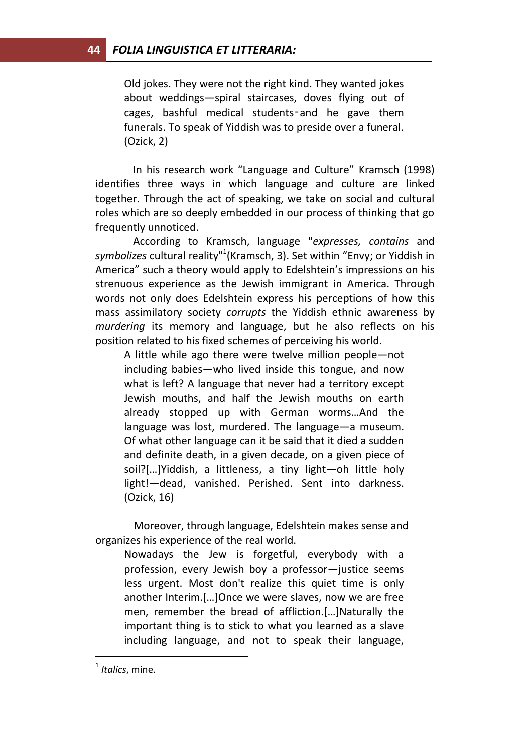Old jokes. They were not the right kind. They wanted jokes about weddings—spiral staircases, doves flying out of cages, bashful medical students-and he gave them funerals. To speak of Yiddish was to preside over a funeral. (Ozick, 2)

In his research work "Language and Culture" Kramsch (1998) identifies three ways in which language and culture are linked together. Through the act of speaking, we take on social and cultural roles which are so deeply embedded in our process of thinking that go frequently unnoticed.

According to Kramsch, language "*expresses, contains* and *symbolizes* cultural reality"<sup>1</sup> (Kramsch, 3). Set within "Envy; or Yiddish in America" such a theory would apply to Edelshtein's impressions on his strenuous experience as the Jewish immigrant in America. Through words not only does Edelshtein express his perceptions of how this mass assimilatory society *corrupts* the Yiddish ethnic awareness by *murdering* its memory and language, but he also reflects on his position related to his fixed schemes of perceiving his world.

A little while ago there were twelve million people—not including babies—who lived inside this tongue, and now what is left? A language that never had a territory except Jewish mouths, and half the Jewish mouths on earth already stopped up with German worms…And the language was lost, murdered. The language—a museum. Of what other language can it be said that it died a sudden and definite death, in a given decade, on a given piece of soil?[…]Yiddish, a littleness, a tiny light—oh little holy light!—dead, vanished. Perished. Sent into darkness. (Ozick, 16)

Moreover, through language, Edelshtein makes sense and organizes his experience of the real world.

Nowadays the Jew is forgetful, everybody with a profession, every Jewish boy a professor—justice seems less urgent. Most don't realize this quiet time is only another Interim.[…]Once we were slaves, now we are free men, remember the bread of affliction.[…]Naturally the important thing is to stick to what you learned as a slave including language, and not to speak their language,

 $\overline{a}$ 

<sup>1</sup> *Italics*, mine.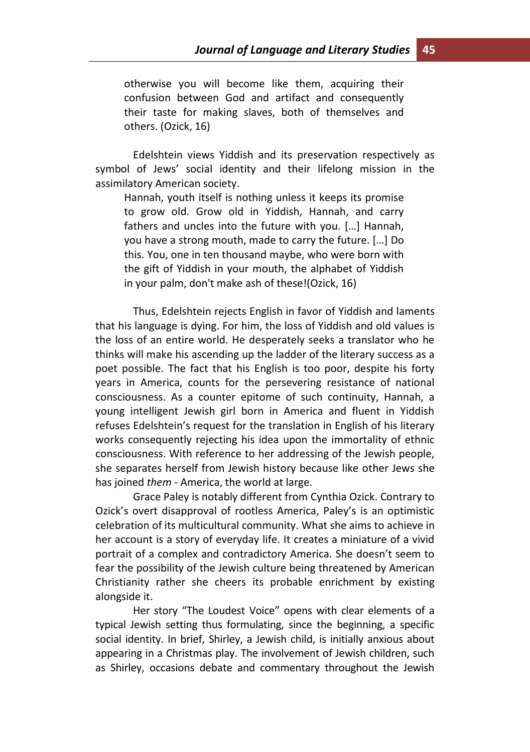otherwise you will become like them, acquiring their confusion between God and artifact and consequently their taste for making slaves, both of themselves and others. (Ozick, 16)

Edelshtein views Yiddish and its preservation respectively as symbol of Jews' social identity and their lifelong mission in the assimilatory American society.

Hannah, youth itself is nothing unless it keeps its promise to grow old. Grow old in Yiddish, Hannah, and carry fathers and uncles into the future with you. […] Hannah, you have a strong mouth, made to carry the future. […] Do this. You, one in ten thousand maybe, who were born with the gift of Yiddish in your mouth, the alphabet of Yiddish in your palm, don't make ash of these!(Ozick, 16)

Thus, Edelshtein rejects English in favor of Yiddish and laments that his language is dying. For him, the loss of Yiddish and old values is the loss of an entire world. He desperately seeks a translator who he thinks will make his ascending up the ladder of the literary success as a poet possible. The fact that his English is too poor, despite his forty years in America, counts for the persevering resistance of national consciousness. As a counter epitome of such continuity, Hannah, a young intelligent Jewish girl born in America and fluent in Yiddish refuses Edelshtein's request for the translation in English of his literary works consequently rejecting his idea upon the immortality of ethnic consciousness. With reference to her addressing of the Jewish people, she separates herself from Jewish history because like other Jews she has joined *them* - America, the world at large.

Grace Paley is notably different from Cynthia Ozick. Contrary to Ozick's overt disapproval of rootless America, Paley's is an optimistic celebration of its multicultural community. What she aims to achieve in her account is a story of everyday life. It creates a miniature of a vivid portrait of a complex and contradictory America. She doesn't seem to fear the possibility of the Jewish culture being threatened by American Christianity rather she cheers its probable enrichment by existing alongside it.

Her story "The Loudest Voice" opens with clear elements of a typical Jewish setting thus formulating, since the beginning, a specific social identity. In brief, Shirley, a Jewish child, is initially anxious about appearing in a Christmas play. The involvement of Jewish children, such as Shirley, occasions debate and commentary throughout the Jewish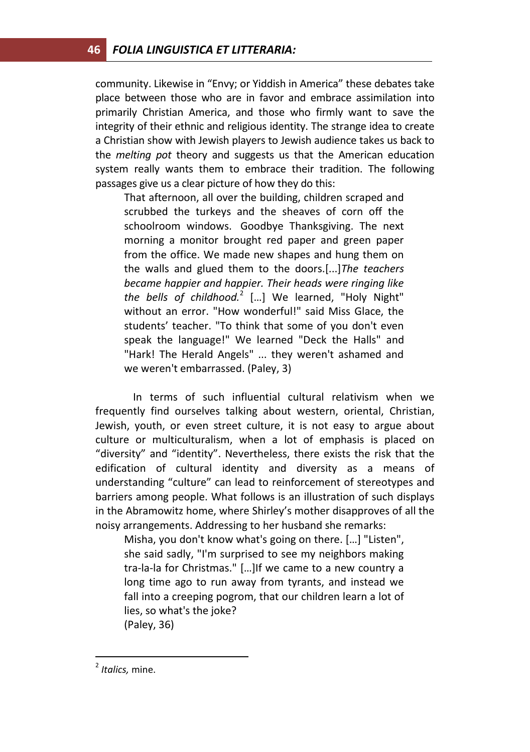community. Likewise in "Envy; or Yiddish in America" these debates take place between those who are in favor and embrace assimilation into primarily Christian America, and those who firmly want to save the integrity of their ethnic and religious identity. The strange idea to create a Christian show with Jewish players to Jewish audience takes us back to the *melting pot* theory and suggests us that the American education system really wants them to embrace their tradition. The following passages give us a clear picture of how they do this:

That afternoon, all over the building, children scraped and scrubbed the turkeys and the sheaves of corn off the schoolroom windows. Goodbye Thanksgiving. The next morning a monitor brought red paper and green paper from the office. We made new shapes and hung them on the walls and glued them to the doors.[...]*The teachers became happier and happier. Their heads were ringing like the bells of childhood.*<sup>2</sup> […] We learned, "Holy Night" without an error. "How wonderful!" said Miss Glace, the students' teacher. "To think that some of you don't even speak the language!" We learned "Deck the Halls" and "Hark! The Herald Angels" ... they weren't ashamed and we weren't embarrassed. (Paley, 3)

In terms of such influential cultural relativism when we frequently find ourselves talking about western, oriental, Christian, Jewish, youth, or even street culture, it is not easy to argue about culture or multiculturalism, when a lot of emphasis is placed on "diversity" and "identity". Nevertheless, there exists the risk that the edification of cultural identity and diversity as a means of understanding "culture" can lead to reinforcement of stereotypes and barriers among people. What follows is an illustration of such displays in the Abramowitz home, where Shirley's mother disapproves of all the noisy arrangements. Addressing to her husband she remarks:

Misha, you don't know what's going on there. […] "Listen", she said sadly, "I'm surprised to see my neighbors making tra-la-la for Christmas." […]If we came to a new country a long time ago to run away from tyrants, and instead we fall into a creeping pogrom, that our children learn a lot of lies, so what's the joke? (Paley, 36)

 $\overline{a}$ 

<sup>2</sup> *Italics,* mine.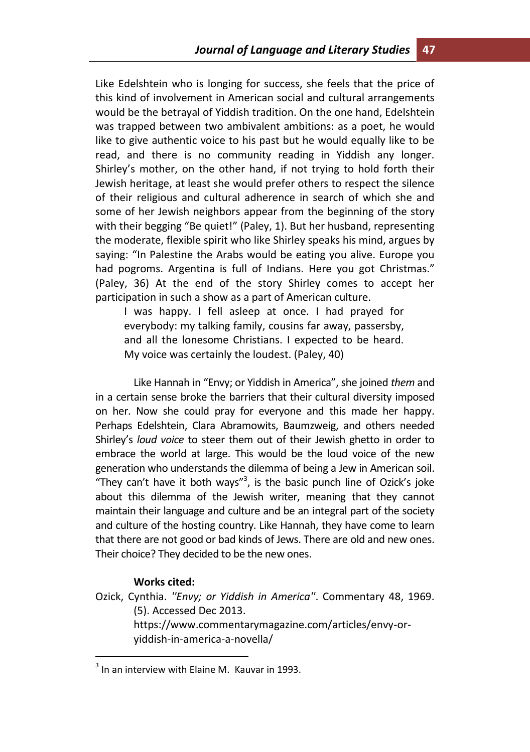Like Edelshtein who is longing for success, she feels that the price of this kind of involvement in American social and cultural arrangements would be the betrayal of Yiddish tradition. On the one hand, Edelshtein was trapped between two ambivalent ambitions: as a poet, he would like to give authentic voice to his past but he would equally like to be read, and there is no community reading in Yiddish any longer. Shirley's mother, on the other hand, if not trying to hold forth their Jewish heritage, at least she would prefer others to respect the silence of their religious and cultural adherence in search of which she and some of her Jewish neighbors appear from the beginning of the story with their begging "Be quiet!" (Paley, 1). But her husband, representing the moderate, flexible spirit who like Shirley speaks his mind, argues by saying: "In Palestine the Arabs would be eating you alive. Europe you had pogroms. Argentina is full of Indians. Here you got Christmas." (Paley, 36) At the end of the story Shirley comes to accept her participation in such a show as a part of American culture.

I was happy. I fell asleep at once. I had prayed for everybody: my talking family, cousins far away, passersby, and all the lonesome Christians. I expected to be heard. My voice was certainly the loudest. (Paley, 40)

Like Hannah in "Envy; or Yiddish in America", she joined *them* and in a certain sense broke the barriers that their cultural diversity imposed on her. Now she could pray for everyone and this made her happy. Perhaps Edelshtein, Clara Abramowits, Baumzweig, and others needed Shirley's *loud voice* to steer them out of their Jewish ghetto in order to embrace the world at large. This would be the loud voice of the new generation who understands the dilemma of being a Jew in American soil. "They can't have it both ways"<sup>3</sup>, is the basic punch line of Ozick's joke about this dilemma of the Jewish writer, meaning that they cannot maintain their language and culture and be an integral part of the society and culture of the hosting country. Like Hannah, they have come to learn that there are not good or bad kinds of Jews. There are old and new ones. Their choice? They decided to be the new ones.

## **Works cited:**

 $\overline{a}$ 

Ozick, Cynthia. *''Envy; or Yiddish in America''*. Commentary 48, 1969. (5). Accessed Dec 2013. https://www.commentarymagazine.com/articles/envy-oryiddish-in-america-a-novella/

 $3$  In an interview with Elaine M. Kauvar in 1993.